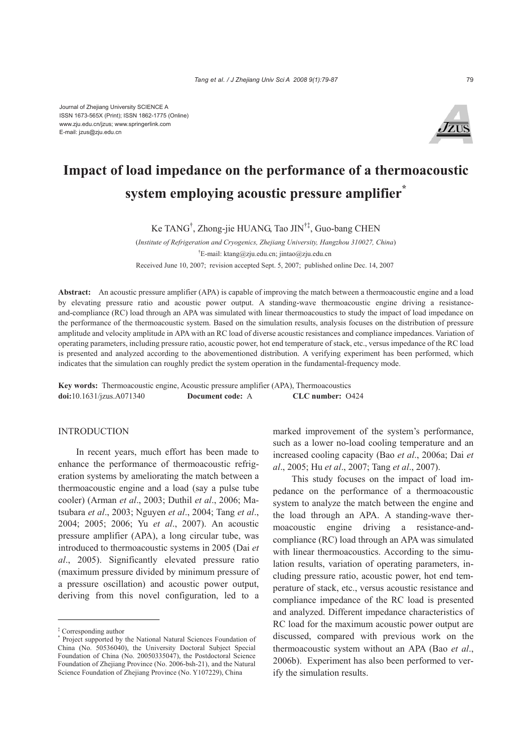

# **Impact of load impedance on the performance of a thermoacoustic system employing acoustic pressure amplifier\***

Ke TANG† , Zhong-jie HUANG, Tao JIN†‡, Guo-bang CHEN

(*Institute of Refrigeration and Cryogenics, Zhejiang University, Hangzhou 310027, China*) † E-mail: ktang@zju.edu.cn; jintao@zju.edu.cn Received June 10, 2007; revision accepted Sept. 5, 2007; published online Dec. 14, 2007

**Abstract:** An acoustic pressure amplifier (APA) is capable of improving the match between a thermoacoustic engine and a load by elevating pressure ratio and acoustic power output. A standing-wave thermoacoustic engine driving a resistanceand-compliance (RC) load through an APA was simulated with linear thermoacoustics to study the impact of load impedance on the performance of the thermoacoustic system. Based on the simulation results, analysis focuses on the distribution of pressure amplitude and velocity amplitude in APA with an RC load of diverse acoustic resistances and compliance impedances. Variation of operating parameters, including pressure ratio, acoustic power, hot end temperature of stack, etc., versus impedance of the RC load is presented and analyzed according to the abovementioned distribution. A verifying experiment has been performed, which indicates that the simulation can roughly predict the system operation in the fundamental-frequency mode.

**Key words:** Thermoacoustic engine, Acoustic pressure amplifier (APA), Thermoacoustics **doi:**10.1631/jzus.A071340 **Document code:** A **CLC number:** O424

#### INTRODUCTION

In recent years, much effort has been made to enhance the performance of thermoacoustic refrigeration systems by ameliorating the match between a thermoacoustic engine and a load (say a pulse tube cooler) (Arman *et al*., 2003; Duthil *et al*., 2006; Matsubara *et al*., 2003; Nguyen *et al*., 2004; Tang *et al*., 2004; 2005; 2006; Yu *et al*., 2007). An acoustic pressure amplifier (APA), a long circular tube, was introduced to thermoacoustic systems in 2005 (Dai *et al*., 2005). Significantly elevated pressure ratio (maximum pressure divided by minimum pressure of a pressure oscillation) and acoustic power output, deriving from this novel configuration, led to a marked improvement of the system's performance, such as a lower no-load cooling temperature and an increased cooling capacity (Bao *et al*., 2006a; Dai *et al*., 2005; Hu *et al*., 2007; Tang *et al*., 2007).

This study focuses on the impact of load impedance on the performance of a thermoacoustic system to analyze the match between the engine and the load through an APA. A standing-wave thermoacoustic engine driving a resistance-andcompliance (RC) load through an APA was simulated with linear thermoacoustics. According to the simulation results, variation of operating parameters, including pressure ratio, acoustic power, hot end temperature of stack, etc., versus acoustic resistance and compliance impedance of the RC load is presented and analyzed. Different impedance characteristics of RC load for the maximum acoustic power output are discussed, compared with previous work on the thermoacoustic system without an APA (Bao *et al*., 2006b). Experiment has also been performed to verify the simulation results.

<sup>‡</sup> Corresponding author

<sup>\*</sup> Project supported by the National Natural Sciences Foundation of China (No. 50536040), the University Doctoral Subject Special Foundation of China (No. 20050335047), the Postdoctoral Science Foundation of Zhejiang Province (No. 2006-bsh-21), and the Natural Science Foundation of Zhejiang Province (No. Y107229), China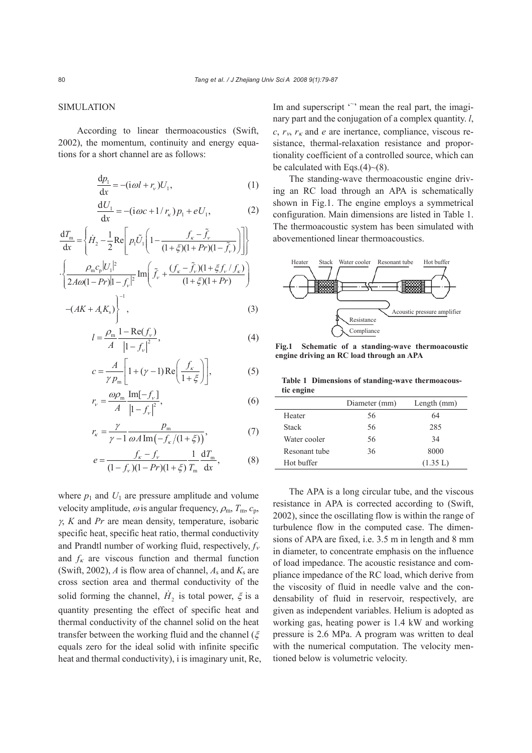# SIMULATION

According to linear thermoacoustics (Swift, 2002), the momentum, continuity and energy equations for a short channel are as follows:

$$
\frac{\mathrm{d}p_1}{\mathrm{d}x} = -(\mathrm{i}\,\omega l + r_v)U_1,\tag{1}
$$

$$
\frac{dU_1}{dx} = -(i\omega c + 1/r_{\kappa})p_1 + eU_1,
$$
 (2)

$$
\frac{dT_m}{dx} = \left\{ \dot{H}_2 - \frac{1}{2} \text{Re} \left[ p_1 \tilde{U}_1 \left( 1 - \frac{f_{\kappa} - \tilde{f}_{\nu}}{(1 + \xi)(1 + Pr)(1 - \tilde{f}_{\nu})} \right) \right] \right\}
$$

$$
\cdot \left\{ \frac{\rho_m c_p |U_1|^2}{2A\omega(1 - Pr)|1 - f_{\nu}|^2} \text{Im} \left( \tilde{f}_{\nu} + \frac{(f_{\kappa} - \tilde{f}_{\nu})(1 + \xi f_{\nu}/f_{\kappa})}{(1 + \xi)(1 + Pr)} \right) \right\}
$$

$$
-(AK + A_{s}K_{s})\bigg\}^{-1}, \tag{3}
$$

$$
l = \frac{\rho_{\rm m}}{A} \frac{1 - \text{Re}(f_{\nu})}{|1 - f_{\nu}|^2},\tag{4}
$$

$$
c = \frac{A}{\gamma p_{\rm m}} \left[ 1 + (\gamma - 1) \operatorname{Re} \left( \frac{f_{\kappa}}{1 + \xi} \right) \right],\tag{5}
$$

$$
r_{\nu} = \frac{\omega \rho_{\rm m}}{A} \frac{\text{Im}[-f_{\nu}]}{|1 - f_{\nu}|^2},\tag{6}
$$

$$
r_{\kappa} = \frac{\gamma}{\gamma - 1} \frac{p_{\rm m}}{\omega A \operatorname{Im}(-f_{\kappa}/(1 + \xi))},\tag{7}
$$

$$
e = \frac{f_{\kappa} - f_{\nu}}{(1 - f_{\nu})(1 - Pr)(1 + \xi)} \frac{1}{T_{\rm m}} \frac{dT_{\rm m}}{dx},
$$
(8)

where  $p_1$  and  $U_1$  are pressure amplitude and volume velocity amplitude,  $\omega$  is angular frequency,  $\rho_{\rm m}$ ,  $T_{\rm m}$ ,  $c_{\rm p}$ , <sup>γ</sup>, *K* and *Pr* are mean density, temperature, isobaric specific heat, specific heat ratio, thermal conductivity and Prandtl number of working fluid, respectively,  $f_v$ and  $f_k$  are viscous function and thermal function (Swift, 2002), *A* is flow area of channel,  $A_s$  and  $K_s$  are cross section area and thermal conductivity of the solid forming the channel,  $\dot{H}_2$  is total power,  $\xi$  is a quantity presenting the effect of specific heat and thermal conductivity of the channel solid on the heat transfer between the working fluid and the channel ( $\xi$ equals zero for the ideal solid with infinite specific heat and thermal conductivity), i is imaginary unit, Re,

Im and superscript " mean the real part, the imaginary part and the conjugation of a complex quantity. *l*,  $c, r_v, r_k$  and *e* are inertance, compliance, viscous resistance, thermal-relaxation resistance and proportionality coefficient of a controlled source, which can be calculated with Eqs.(4) $\sim$ (8).

The standing-wave thermoacoustic engine driving an RC load through an APA is schematically shown in Fig.1. The engine employs a symmetrical configuration. Main dimensions are listed in Table 1. The thermoacoustic system has been simulated with abovementioned linear thermoacoustics.



**Fig.1 Schematic of a standing-wave thermoacoustic engine driving an RC load through an APA** 

**Table 1 Dimensions of standing-wave thermoacoustic engine**

|               | Diameter (mm) | Length $(mm)$ |
|---------------|---------------|---------------|
| Heater        | 56            | 64            |
| <b>Stack</b>  | 56            | 285           |
| Water cooler  | 56            | 34            |
| Resonant tube | 36            | 8000          |
| Hot buffer    |               | (1.35 L)      |

The APA is a long circular tube, and the viscous resistance in APA is corrected according to (Swift, 2002), since the oscillating flow is within the range of turbulence flow in the computed case. The dimensions of APA are fixed, i.e. 3.5 m in length and 8 mm in diameter, to concentrate emphasis on the influence of load impedance. The acoustic resistance and compliance impedance of the RC load, which derive from the viscosity of fluid in needle valve and the condensability of fluid in reservoir, respectively, are given as independent variables. Helium is adopted as working gas, heating power is 1.4 kW and working pressure is 2.6 MPa. A program was written to deal with the numerical computation. The velocity mentioned below is volumetric velocity.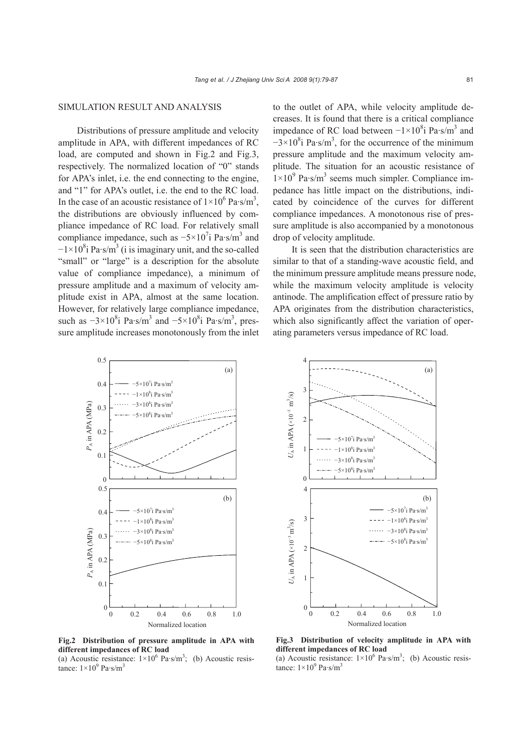## SIMULATION RESULT AND ANALYSIS

Distributions of pressure amplitude and velocity amplitude in APA, with different impedances of RC load, are computed and shown in Fig.2 and Fig.3, respectively. The normalized location of "0" stands for APA's inlet, i.e. the end connecting to the engine, and "1" for APA's outlet, i.e. the end to the RC load. In the case of an acoustic resistance of  $1 \times 10^6$  Pa·s/m<sup>3</sup>, the distributions are obviously influenced by compliance impedance of RC load. For relatively small compliance impedance, such as  $-5 \times 10^{7}$  Pa·s/m<sup>3</sup> and  $-1\times10^{8}$ i Pa·s/m<sup>3</sup> (i is imaginary unit, and the so-called "small" or "large" is a description for the absolute value of compliance impedance), a minimum of pressure amplitude and a maximum of velocity amplitude exist in APA, almost at the same location. However, for relatively large compliance impedance, such as  $-3 \times 10^8$  i Pa·s/m<sup>3</sup> and  $-5 \times 10^8$  i Pa·s/m<sup>3</sup>, pressure amplitude increases monotonously from the inlet

to the outlet of APA, while velocity amplitude decreases. It is found that there is a critical compliance impedance of RC load between  $-1 \times 10^8$ i Pa·s/m<sup>3</sup> and  $-3 \times 10^{8}$ i Pa·s/m<sup>3</sup>, for the occurrence of the minimum pressure amplitude and the maximum velocity amplitude. The situation for an acoustic resistance of  $1\times10^{9}$  Pa·s/m<sup>3</sup> seems much simpler. Compliance impedance has little impact on the distributions, indicated by coincidence of the curves for different compliance impedances. A monotonous rise of pressure amplitude is also accompanied by a monotonous drop of velocity amplitude.

It is seen that the distribution characteristics are similar to that of a standing-wave acoustic field, and the minimum pressure amplitude means pressure node, while the maximum velocity amplitude is velocity antinode. The amplification effect of pressure ratio by APA originates from the distribution characteristics, which also significantly affect the variation of operating parameters versus impedance of RC load.



**Fig.2 Distribution of pressure amplitude in APA with different impedances of RC load** 

(a) Acoustic resistance:  $1 \times 10^6$  Pa·s/m<sup>3</sup>; (b) Acoustic resistance:  $1 \times 10^9$  Pa·s/m<sup>3</sup>



**Fig.3 Distribution of velocity amplitude in APA with different impedances of RC load**

(a) Acoustic resistance:  $1 \times 10^6$  Pa·s/m<sup>3</sup>; (b) Acoustic resistance:  $1 \times 10^9$  Pa·s/m<sup>3</sup>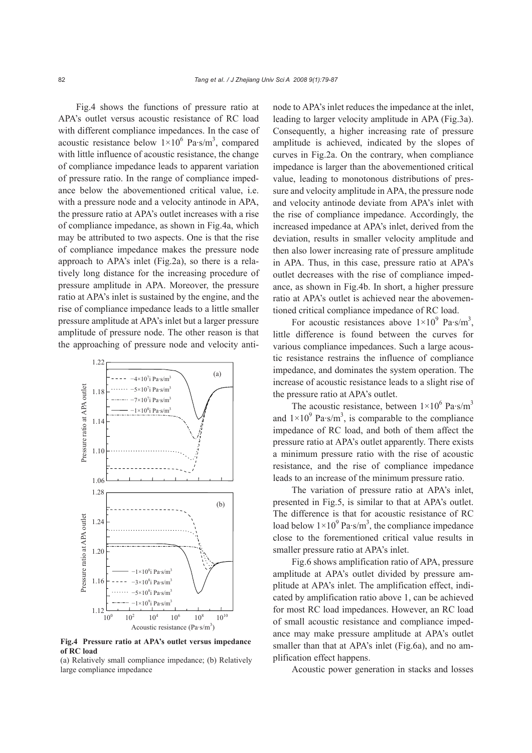Fig.4 shows the functions of pressure ratio at APA's outlet versus acoustic resistance of RC load with different compliance impedances. In the case of acoustic resistance below  $1 \times 10^6$  Pa·s/m<sup>3</sup>, compared with little influence of acoustic resistance, the change of compliance impedance leads to apparent variation of pressure ratio. In the range of compliance impedance below the abovementioned critical value, i.e. with a pressure node and a velocity antinode in APA, the pressure ratio at APA's outlet increases with a rise of compliance impedance, as shown in Fig.4a, which may be attributed to two aspects. One is that the rise of compliance impedance makes the pressure node approach to APA's inlet (Fig.2a), so there is a relatively long distance for the increasing procedure of pressure amplitude in APA. Moreover, the pressure ratio at APA's inlet is sustained by the engine, and the rise of compliance impedance leads to a little smaller pressure amplitude at APA's inlet but a larger pressure amplitude of pressure node. The other reason is that the approaching of pressure node and velocity anti-



**Fig.4 Pressure ratio at APA's outlet versus impedance of RC load**

(a) Relatively small compliance impedance; (b) Relatively large compliance impedance

node to APA's inlet reduces the impedance at the inlet, leading to larger velocity amplitude in APA (Fig.3a). Consequently, a higher increasing rate of pressure amplitude is achieved, indicated by the slopes of curves in Fig.2a. On the contrary, when compliance impedance is larger than the abovementioned critical value, leading to monotonous distributions of pressure and velocity amplitude in APA, the pressure node and velocity antinode deviate from APA's inlet with the rise of compliance impedance. Accordingly, the increased impedance at APA's inlet, derived from the deviation, results in smaller velocity amplitude and then also lower increasing rate of pressure amplitude in APA. Thus, in this case, pressure ratio at APA's outlet decreases with the rise of compliance impedance, as shown in Fig.4b. In short, a higher pressure ratio at APA's outlet is achieved near the abovementioned critical compliance impedance of RC load.

For acoustic resistances above  $1 \times 10^9$  Pa·s/m<sup>3</sup>, little difference is found between the curves for various compliance impedances. Such a large acoustic resistance restrains the influence of compliance impedance, and dominates the system operation. The increase of acoustic resistance leads to a slight rise of the pressure ratio at APA's outlet.

The acoustic resistance, between  $1 \times 10^6$  Pa·s/m<sup>3</sup> and  $1 \times 10^9$  Pa·s/m<sup>3</sup>, is comparable to the compliance impedance of RC load, and both of them affect the pressure ratio at APA's outlet apparently. There exists a minimum pressure ratio with the rise of acoustic resistance, and the rise of compliance impedance leads to an increase of the minimum pressure ratio.

The variation of pressure ratio at APA's inlet, presented in Fig.5, is similar to that at APA's outlet. The difference is that for acoustic resistance of RC load below  $1 \times 10^9$  Pa·s/m<sup>3</sup>, the compliance impedance close to the forementioned critical value results in smaller pressure ratio at APA's inlet.

Fig.6 shows amplification ratio of APA, pressure amplitude at APA's outlet divided by pressure amplitude at APA's inlet. The amplification effect, indicated by amplification ratio above 1, can be achieved for most RC load impedances. However, an RC load of small acoustic resistance and compliance impedance may make pressure amplitude at APA's outlet smaller than that at APA's inlet (Fig.6a), and no amplification effect happens.

Acoustic power generation in stacks and losses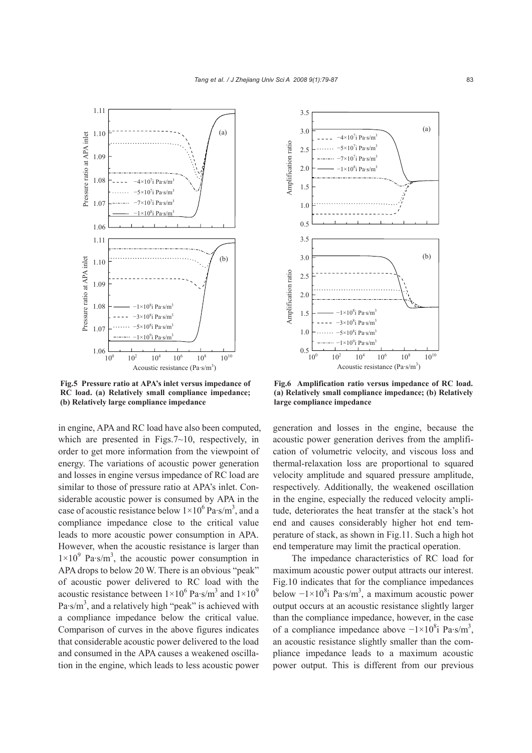

**Fig.5 Pressure ratio at APA's inlet versus impedance of RC load. (a) Relatively small compliance impedance; (b) Relatively large compliance impedance**

in engine, APA and RC load have also been computed, which are presented in Figs.7~10, respectively, in order to get more information from the viewpoint of energy. The variations of acoustic power generation and losses in engine versus impedance of RC load are similar to those of pressure ratio at APA's inlet. Considerable acoustic power is consumed by APA in the case of acoustic resistance below  $1 \times 10^6$  Pa·s/m<sup>3</sup>, and a compliance impedance close to the critical value leads to more acoustic power consumption in APA. However, when the acoustic resistance is larger than  $1\times10^{9}$  Pa·s/m<sup>3</sup>, the acoustic power consumption in APA drops to below 20 W. There is an obvious "peak" of acoustic power delivered to RC load with the acoustic resistance between  $1 \times 10^6$  Pa·s/m<sup>3</sup> and  $1 \times 10^9$ Pa $\cdot$ s/m<sup>3</sup>, and a relatively high "peak" is achieved with a compliance impedance below the critical value. Comparison of curves in the above figures indicates that considerable acoustic power delivered to the load and consumed in the APA causes a weakened oscillation in the engine, which leads to less acoustic power



**Fig.6 Amplification ratio versus impedance of RC load. (a) Relatively small compliance impedance; (b) Relatively large compliance impedance**

generation and losses in the engine, because the acoustic power generation derives from the amplification of volumetric velocity, and viscous loss and thermal-relaxation loss are proportional to squared velocity amplitude and squared pressure amplitude, respectively. Additionally, the weakened oscillation in the engine, especially the reduced velocity amplitude, deteriorates the heat transfer at the stack's hot end and causes considerably higher hot end temperature of stack, as shown in Fig.11. Such a high hot end temperature may limit the practical operation.

The impedance characteristics of RC load for maximum acoustic power output attracts our interest. Fig.10 indicates that for the compliance impedances below  $-1 \times 10^8$ i Pa·s/m<sup>3</sup>, a maximum acoustic power output occurs at an acoustic resistance slightly larger than the compliance impedance, however, in the case of a compliance impedance above  $-1 \times 10^8$ i Pa·s/m<sup>3</sup>, an acoustic resistance slightly smaller than the compliance impedance leads to a maximum acoustic power output. This is different from our previous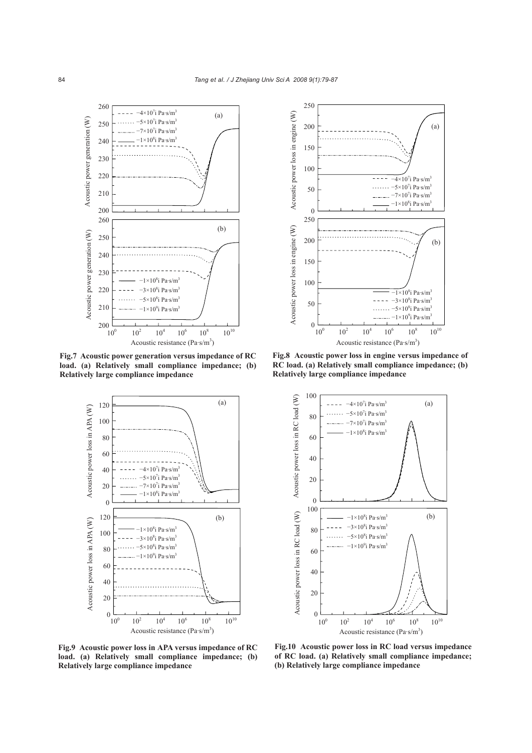

**Fig.7 Acoustic power generation versus impedance of RC load. (a) Relatively small compliance impedance; (b) Relatively large compliance impedance**



250 Acoustic power loss in engine (W) Acoustic power loss in engine (W) 200  $(a)$ 150 100  $-4\times10^{7}$ i Pa·s/m<sup>3</sup>  $-5\times10^{7}$ i Pa·s/m<sup>3</sup> 50  $-7\times10^{7}$ i Pa·s/m<sup>3</sup>  $-1\times10^{8}$ i Pa·s/m<sup>3</sup> 0 250 Acoustic power loss in engine (W) Acoustic power loss in engine (W) 200 (b) 150 100  $-1\times10^{8}$ i Pa·s/m<sup>3</sup>  $-3\times10^{8}$ i Pa·s/m<sup>3</sup> 50  $-5\times10^{8}$ i Pa·s/m<sup>3</sup>  $-1\times10^{9}$ i Pa·s/m<sup>3</sup>  $\Omega$  $10<sup>0</sup>$  $10<sup>2</sup>$  $10<sup>4</sup>$  $10$  $10<sup>8</sup>$  $10^{10}$ Acoustic resistance  $(Pa\text{-}s/m^3)$ 

**Fig.8 Acoustic power loss in engine versus impedance of RC load. (a) Relatively small compliance impedance; (b) Relatively large compliance impedance**



**Fig.9 Acoustic power loss in APA versus impedance of RC load. (a) Relatively small compliance impedance; (b) Relatively large compliance impedance**

**Fig.10 Acoustic power loss in RC load versus impedance of RC load. (a) Relatively small compliance impedance; (b) Relatively large compliance impedance**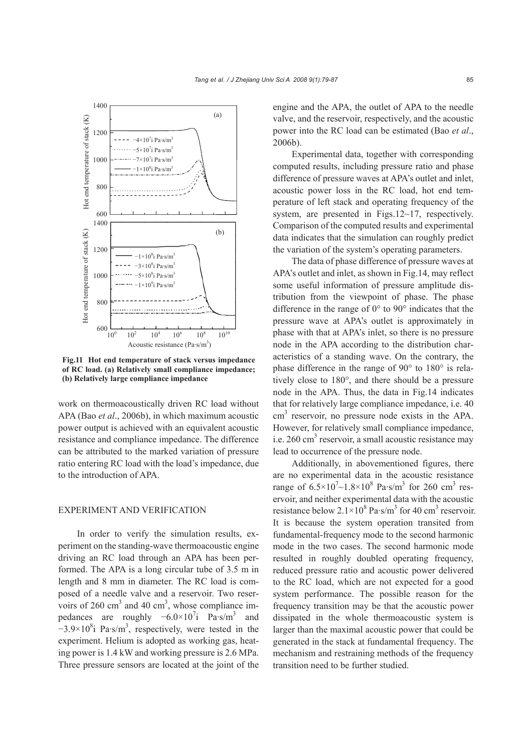

**Fig.11 Hot end temperature of stack versus impedance of RC load. (a) Relatively small compliance impedance; (b) Relatively large compliance impedance**

work on thermoacoustically driven RC load without APA (Bao *et al*., 2006b), in which maximum acoustic power output is achieved with an equivalent acoustic resistance and compliance impedance. The difference can be attributed to the marked variation of pressure ratio entering RC load with the load's impedance, due to the introduction of APA.

## EXPERIMENT AND VERIFICATION

In order to verify the simulation results, experiment on the standing-wave thermoacoustic engine driving an RC load through an APA has been performed. The APA is a long circular tube of 3.5 m in length and 8 mm in diameter. The RC load is composed of a needle valve and a reservoir. Two reservoirs of 260 cm<sup>3</sup> and 40 cm<sup>3</sup>, whose compliance impedances are roughly  $-6.0 \times 10^{7}$  Pa·s/m<sup>3</sup> and  $-3.9\times10^{8}$ i Pa·s/m<sup>3</sup>, respectively, were tested in the experiment. Helium is adopted as working gas, heating power is 1.4 kW and working pressure is 2.6 MPa. Three pressure sensors are located at the joint of the

engine and the APA, the outlet of APA to the needle valve, and the reservoir, respectively, and the acoustic power into the RC load can be estimated (Bao *et al*., 2006b).

Experimental data, together with corresponding computed results, including pressure ratio and phase difference of pressure waves at APA's outlet and inlet, acoustic power loss in the RC load, hot end temperature of left stack and operating frequency of the system, are presented in Figs.12~17, respectively. Comparison of the computed results and experimental data indicates that the simulation can roughly predict the variation of the system's operating parameters.

The data of phase difference of pressure waves at APA's outlet and inlet, as shown in Fig.14, may reflect some useful information of pressure amplitude distribution from the viewpoint of phase. The phase difference in the range of 0° to 90° indicates that the pressure wave at APA's outlet is approximately in phase with that at APA's inlet, so there is no pressure node in the APA according to the distribution characteristics of a standing wave. On the contrary, the phase difference in the range of 90° to 180° is relatively close to 180°, and there should be a pressure node in the APA. Thus, the data in Fig.14 indicates that for relatively large compliance impedance, i.e. 40 cm<sup>3</sup> reservoir, no pressure node exists in the APA. However, for relatively small compliance impedance, i.e.  $260 \text{ cm}^3$  reservoir, a small acoustic resistance may lead to occurrence of the pressure node.

Additionally, in abovementioned figures, there are no experimental data in the acoustic resistance range of  $6.5 \times 10^{7} \sim 1.8 \times 10^{8}$  Pa·s/m<sup>3</sup> for 260 cm<sup>3</sup> reservoir, and neither experimental data with the acoustic resistance below  $2.1 \times 10^8$  Pa·s/m<sup>3</sup> for 40 cm<sup>3</sup> reservoir. It is because the system operation transited from fundamental-frequency mode to the second harmonic mode in the two cases. The second harmonic mode resulted in roughly doubled operating frequency, reduced pressure ratio and acoustic power delivered to the RC load, which are not expected for a good system performance. The possible reason for the frequency transition may be that the acoustic power dissipated in the whole thermoacoustic system is larger than the maximal acoustic power that could be generated in the stack at fundamental frequency. The mechanism and restraining methods of the frequency transition need to be further studied.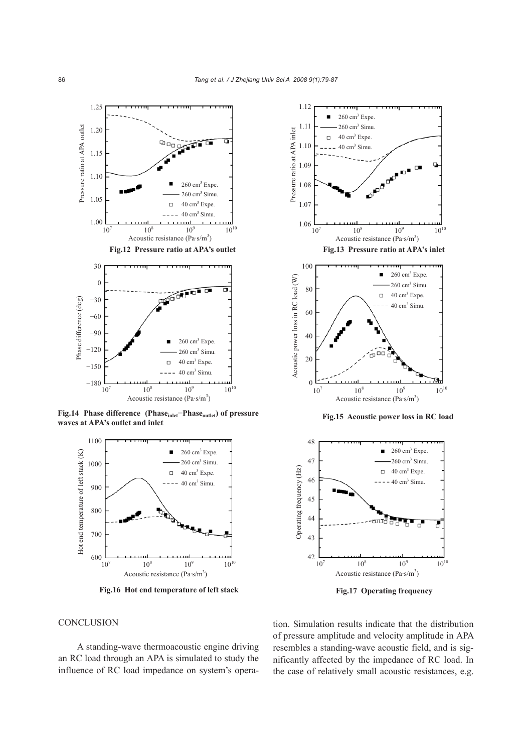

**Fig.14 Phase difference (Phaseinlet−Phaseoutlet) of pressure waves at APA's outlet and inlet**



**Fig.16 Hot end temperature of left stack**





 **Fig.17 Operating frequency** 

### **CONCLUSION**

A standing-wave thermoacoustic engine driving an RC load through an APA is simulated to study the influence of RC load impedance on system's operation. Simulation results indicate that the distribution of pressure amplitude and velocity amplitude in APA resembles a standing-wave acoustic field, and is significantly affected by the impedance of RC load. In the case of relatively small acoustic resistances, e.g.